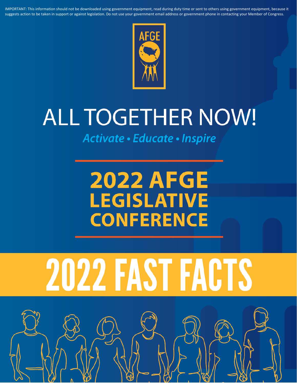IMPORTANT: This information should not be downloaded using government equipment, read during duty time or sent to others using government equipment, because it suggests action to be taken in support or against legislation. Do not use your government email address or government phone in contacting your Member of Congress.



## **ALL TOGETHER NOW!**

Activate · Educate · Inspire

### **2022 AFGE LEGISLATIVE CONFERENCE**

# 2022 FAST FACTS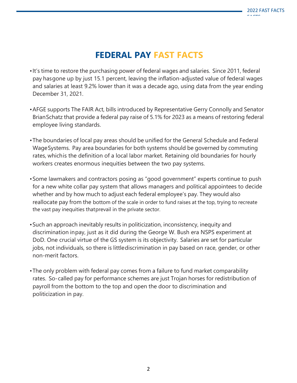#### **FEDERAL PAY FAST FACTS**

- •It's time to restore the purchasing power of federal wages and salaries. Since 2011, federal pay hasgone up by just 15.1 percent, leaving the inflation-adjusted value of federal wages and salaries at least 9.2% lower than it was a decade ago, using data from the year ending December 31, 2021.
- •AFGE supports The FAIR Act, bills introduced by Representative Gerry Connolly and Senator BrianSchatz that provide a federal pay raise of 5.1% for 2023 as a means of restoring federal employee living standards.
- •The boundaries of local pay areas should be unified for the General Schedule and Federal WageSystems. Pay area boundaries for both systems should be governed by commuting rates, whichis the definition of a local labor market. Retaining old boundaries for hourly workers creates enormous inequities between the two pay systems.
- •Some lawmakers and contractors posing as "good government" experts continue to push for a new white collar pay system that allows managers and political appointees to decide whether and by how much to adjust each federal employee's pay. They would also reallocate pay from the bottom of the scale in order to fund raises at the top, trying to recreate the vast pay inequities thatprevail in the private sector.
- •Such an approach inevitably results in politicization, inconsistency, inequity and discrimination inpay, just as it did during the George W. Bush era NSPS experiment at DoD. One crucial virtue of the GS system is its objectivity. Salaries are set for particular jobs, not individuals, so there is littlediscrimination in pay based on race, gender, or other non-merit factors.
- •The only problem with federal pay comes from a failure to fund market comparability rates. So-called pay for performance schemes are just Trojan horses for redistribution of payroll from the bottom to the top and open the door to discrimination and politicization in pay.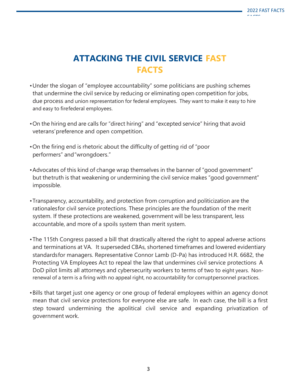#### **ATTACKING THE CIVIL SERVICE FAST FACTS**

- •Under the slogan of "employee accountability" some politicians are pushing schemes that undermine the civil service by reducing or eliminating open competition for jobs, due process and union representation for federal employees. They want to make it easy to hire and easy to firefederal employees.
- •On the hiring end are calls for "direct hiring" and "excepted service" hiring that avoid veterans'preference and open competition.
- •On the firing end is rhetoric about the difficulty of getting rid of "poor performers" and"wrongdoers."
- •Advocates of this kind of change wrap themselves in the banner of "good government" but thetruth is that weakening or undermining the civil service makes "good government" impossible.
- •Transparency, accountability, and protection from corruption and politicization are the rationalesfor civil service protections. These principles are the foundation of the merit system. If these protections are weakened, government will be less transparent, less accountable, and more of a spoils system than merit system.
- •The 115th Congress passed a bill that drastically altered the right to appeal adverse actions and terminations at VA. It superseded CBAs, shortened timeframes and lowered evidentiary standardsfor managers. Representative Connor Lamb (D-Pa) has introduced H.R. 6682, the Protecting VA Employees Act to repeal the law that undermines civil service protections A DoD pilot limits all attorneys and cybersecurity workers to terms of two to eight years. Nonrenewal of a term is a firing with no appeal right, no accountability for corruptpersonnel practices.
- •Bills that target just one agency or one group of federal employees within an agency donot mean that civil service protections for everyone else are safe. In each case, the bill is a first step toward undermining the apolitical civil service and expanding privatization of government work.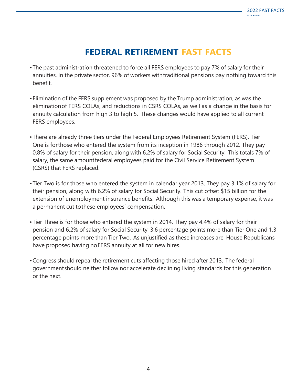#### **FEDERAL RETIREMENT FAST FACTS**

- •The past administration threatened to force all FERS employees to pay 7% of salary for their annuities. In the private sector, 96% of workers withtraditional pensions pay nothing toward this benefit.
- •Elimination of the FERS supplement was proposed by the Trump administration, as was the eliminationof FERS COLAs, and reductions in CSRS COLAs, as well as a change in the basis for annuity calculation from high 3 to high 5. These changes would have applied to all current FERS employees.
- •There are already three tiers under the Federal Employees Retirement System (FERS). Tier One is forthose who entered the system from its inception in 1986 through 2012. They pay 0.8% of salary for their pension, along with 6.2% of salary for Social Security. This totals 7% of salary, the same amountfederal employees paid for the Civil Service Retirement System (CSRS) that FERS replaced.
- •Tier Two is for those who entered the system in calendar year 2013. They pay 3.1% of salary for their pension, along with 6.2% of salary for Social Security. This cut offset \$15 billion for the extension of unemployment insurance benefits. Although this was a temporary expense, it was a permanent cut tothese employees' compensation.
- •Tier Three is for those who entered the system in 2014. They pay 4.4% of salary for their pension and 6.2% of salary for Social Security, 3.6 percentage points more than Tier One and 1.3 percentage points more than Tier Two. As unjustified as these increases are, House Republicans have proposed having noFERS annuity at all for new hires.
- •Congress should repeal the retirement cuts affecting those hired after 2013. The federal governmentshould neither follow nor accelerate declining living standards for this generation or the next.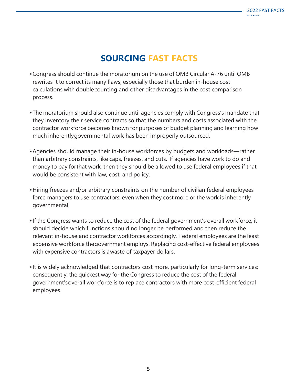#### **SOURCING FAST FACTS**

- •Congress should continue the moratorium on the use of OMB Circular A-76 until OMB rewrites it to correct its many flaws, especially those that burden in-house cost calculations with doublecounting and other disadvantages in the cost comparison process.
- •The moratorium should also continue until agencies comply with Congress's mandate that they inventory their service contracts so that the numbers and costs associated with the contractor workforce becomes known for purposes of budget planning and learning how much inherentlygovernmental work has been improperly outsourced.
- •Agencies should manage their in-house workforces by budgets and workloads—rather than arbitrary constraints, like caps, freezes, and cuts. If agencies have work to do and money to pay forthat work, then they should be allowed to use federal employees if that would be consistent with law, cost, and policy.
- •Hiring freezes and/or arbitrary constraints on the number of civilian federal employees force managers to use contractors, even when they cost more or the work is inherently governmental.
- •If the Congress wants to reduce the cost of the federal government's overall workforce, it should decide which functions should no longer be performed and then reduce the relevant in-house and contractor workforces accordingly. Federal employees are the least expensive workforce thegovernment employs. Replacing cost-effective federal employees with expensive contractors is awaste of taxpayer dollars.
- •It is widely acknowledged that contractors cost more, particularly for long-term services; consequently, the quickest way for the Congress to reduce the cost of the federal government'soverall workforce is to replace contractors with more cost-efficient federal employees.